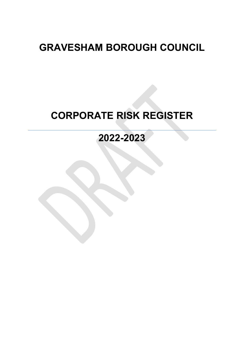# **GRAVESHAM BOROUGH COUNCIL**

# **CORPORATE RISK REGISTER**

## **2022-2023**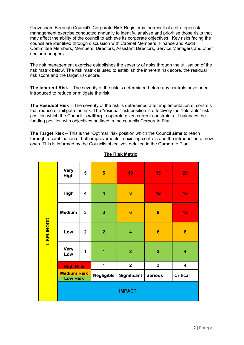Gravesham Borough Council's Corporate Risk Register is the result of a strategic risk management exercise conducted annually to identify, analyse and prioritise those risks that may affect the ability of the council to achieve its corporate objectives. Key risks facing the council are identified through discussion with Cabinet Members, Finance and Audit Committee Members, Members, Directors, Assistant Directors, Service Managers and other senior managers

The risk management exercise establishes the severity of risks through the utilisation of the risk matrix below. The risk matrix is used to establish the inherent risk score, the residual risk score and the target risk score.

**The Inherent Risk** – The severity of the risk is determined before any controls have been introduced to reduce or mitigate the risk.

**The Residual Risk** – The severity of the risk is determined after implementation of controls that reduce or mitigate the risk. The "residual" risk position is effectively the "tolerable" risk position which the Council is **willing** to operate given current constraints. It balances the funding position with objectives outlined in the councils Corporate Plan.

**The Target Risk** – This is the "Optimal" risk position which the Council **aims** to reach through a combination of both improvements in existing controls and the introduction of new ones. This is informed by the Councils objectives detailed in the Corporate Plan.

|                   | <b>Very</b><br><b>High</b>            | 5                       | 5                       | 10                      | 15                      | 20                      |
|-------------------|---------------------------------------|-------------------------|-------------------------|-------------------------|-------------------------|-------------------------|
|                   | <b>High</b>                           | 4                       | $\overline{\mathbf{4}}$ | 8                       | 12                      | 16                      |
|                   | <b>Medium</b>                         | 3                       | 3                       | 6                       | 9                       | 12                      |
| <b>LIKELIHOOD</b> | Low                                   | $\overline{\mathbf{2}}$ | $\overline{2}$          | $\overline{\mathbf{4}}$ | $6\phantom{1}6$         | 8                       |
|                   | <b>Very</b><br>Low                    | 1                       | 1                       | $\overline{2}$          | $\overline{\mathbf{3}}$ | $\overline{\mathbf{4}}$ |
|                   | <b>High Risk</b>                      |                         | 1                       | $\overline{2}$          | $\mathbf 3$             | $\overline{\mathbf{4}}$ |
|                   | <b>Medium Risk</b><br><b>Low Risk</b> |                         | Negligible              | Significant             | <b>Serious</b>          | <b>Critical</b>         |
|                   |                                       |                         |                         | <b>IMPACT</b>           |                         |                         |

### **The Risk Matrix**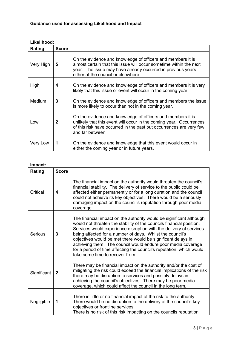## **Guidance used for assessing Likelihood and Impact**

| Likelihood: |              |                                                                                                                                                                                                                                         |
|-------------|--------------|-----------------------------------------------------------------------------------------------------------------------------------------------------------------------------------------------------------------------------------------|
| Rating      | <b>Score</b> |                                                                                                                                                                                                                                         |
| Very High   | 5            | On the evidence and knowledge of officers and members it is<br>almost certain that this issue will occur sometime within the next<br>year. The issue may have already occurred in previous years<br>either at the council or elsewhere. |
| High        | 4            | On the evidence and knowledge of officers and members it is very<br>likely that this issue or event will occur in the coming year.                                                                                                      |
| Medium      | 3            | On the evidence and knowledge of officers and members the issue<br>is more likely to occur than not in the coming year.                                                                                                                 |
| Low         | 2            | On the evidence and knowledge of officers and members it is<br>unlikely that this event will occur in the coming year. Occurrences<br>of this risk have occurred in the past but occurrences are very few<br>and far between.           |
| Very Low    | 1            | On the evidence and knowledge that this event would occur in<br>either the coming year or in future years.                                                                                                                              |

### **Impact:**

| IIIIpact.   |              |                                                                                                                                                                                                                                                                                                                                                                                                                                                                                                                           |
|-------------|--------------|---------------------------------------------------------------------------------------------------------------------------------------------------------------------------------------------------------------------------------------------------------------------------------------------------------------------------------------------------------------------------------------------------------------------------------------------------------------------------------------------------------------------------|
| Rating      | <b>Score</b> |                                                                                                                                                                                                                                                                                                                                                                                                                                                                                                                           |
| Critical    | 4            | The financial impact on the authority would threaten the council's<br>financial stability. The delivery of service to the public could be<br>affected either permanently or for a long duration and the council<br>could not achieve its key objectives. There would be a seriously<br>damaging impact on the council's reputation through poor media<br>coverage.                                                                                                                                                        |
| Serious     | 3            | The financial impact on the authority would be significant although<br>would not threaten the stability of the councils financial position.<br>Services would experience disruption with the delivery of services<br>being affected for a number of days. Whilst the council's<br>objectives would be met there would be significant delays in<br>achieving them. The council would endure poor media coverage<br>for a period of time affecting the council's reputation, which would<br>take some time to recover from. |
| Significant | $\mathbf{2}$ | There may be financial impact on the authority and/or the cost of<br>mitigating the risk could exceed the financial implications of the risk<br>there may be disruption to services and possibly delays in<br>achieving the council's objectives. There may be poor media<br>coverage, which could affect the council in the long term.                                                                                                                                                                                   |
| Negligible  | 1            | There is little or no financial impact of the risk to the authority.<br>There would be no disruption to the delivery of the council's key<br>objectives or frontline services.<br>There is no risk of this risk impacting on the councils reputation                                                                                                                                                                                                                                                                      |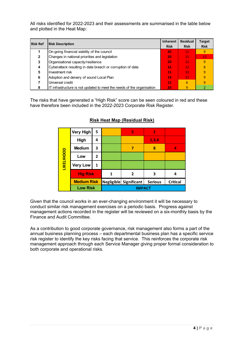All risks identified for 2022-2023 and their assessments are summarised in the table below and plotted in the Heat Map:

| <b>Risk Ref</b> | <b>Risk Description</b>                                                | <b>Inherent</b><br><b>Risk</b> | <b>Residual</b><br><b>Risk</b> | <b>Target</b><br><b>Risk</b> |
|-----------------|------------------------------------------------------------------------|--------------------------------|--------------------------------|------------------------------|
|                 | On-going financial viability of the council                            | 20                             | 12 <sub>1</sub>                | 9                            |
| 2               | Changes in national priorities and legislation                         | 20                             | 15                             | 12 <sub>1</sub>              |
| 3               | Organisational capacity/resilience                                     | 20                             | 12 <sub>1</sub>                | 9                            |
| 4               | Cyberattack resulting in data breach or corruption of data             | 16                             | 12 <sub>2</sub>                | 8                            |
| 5               | Investment risk                                                        | 15                             | 10                             | 9                            |
| 6               | Adoption and deivery of sound Local Plan                               | 16                             | 12 <sub>1</sub>                | 9                            |
|                 | Universal credit                                                       | 15                             | 6                              | 9                            |
|                 | IT infrastructure is not updated to meet the needs of the organisation | 20                             | 9                              |                              |

The risks that have generated a "High Risk" score can be seen coloured in red and these have therefore been included in the 2022-2023 Corporate Risk Register.

|            | <b>Very High</b>   | 5 |   | 5                      | $\overline{2}$ |                 |
|------------|--------------------|---|---|------------------------|----------------|-----------------|
|            | High               | 4 |   |                        | 1,3,6          |                 |
|            | <b>Medium</b>      | З |   |                        | 8              | 4               |
|            | Low                | 2 |   |                        |                |                 |
| LIKELIHOOD | <b>Very Low</b>    | 1 |   |                        |                |                 |
|            | <b>Hig Risk</b>    |   | 1 | 2                      | З              | 4               |
|            | <b>Medium Risk</b> |   |   | Negligible Significant | <b>Serious</b> | <b>Critical</b> |
|            | <b>Low Risk</b>    |   |   | <b>IMPACT</b>          |                |                 |

### **Risk Heat Map (Residual Risk)**

Given that the council works in an ever-changing environment it will be necessary to conduct similar risk management exercises on a periodic basis. Progress against management actions recorded in the register will be reviewed on a six-monthly basis by the Finance and Audit Committee.

As a contribution to good corporate governance, risk management also forms a part of the annual business planning process – each departmental business plan has a specific service risk register to identify the key risks facing that service. This reinforces the corporate risk management approach through each Service Manager giving proper formal consideration to both corporate and operational risks.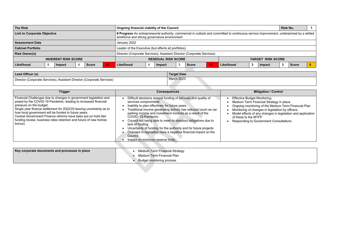| <b>The Risk</b>                    |    |        |  |              |  | Ongoing financial viability of the Council                                                                                                                                              |  |  |  |  |                          |        |  | <b>Risk No.</b> |  |  |  |
|------------------------------------|----|--------|--|--------------|--|-----------------------------------------------------------------------------------------------------------------------------------------------------------------------------------------|--|--|--|--|--------------------------|--------|--|-----------------|--|--|--|
| <b>Link to Corporate Objective</b> |    |        |  |              |  | # Progress An entrepreneurial authority; commercial in outlook and committed to continuous service improvement, underpinned by a skilled<br>workforce and strong governance environment |  |  |  |  |                          |        |  |                 |  |  |  |
| <b>Assessment Date</b>             |    |        |  |              |  | January 2022                                                                                                                                                                            |  |  |  |  |                          |        |  |                 |  |  |  |
| <b>Cabinet Portfolio</b>           |    |        |  |              |  | Leader of the Executive (but affects all portfolios)                                                                                                                                    |  |  |  |  |                          |        |  |                 |  |  |  |
| <b>Risk Owner(s)</b>               |    |        |  |              |  | Director (Corporate Services); Assistant Director (Corporate Services)                                                                                                                  |  |  |  |  |                          |        |  |                 |  |  |  |
| <b>INHERENT RISK SCORE</b>         |    |        |  |              |  | <b>RESIDUAL RISK SCORE</b>                                                                                                                                                              |  |  |  |  | <b>TARGET RISK SCORE</b> |        |  |                 |  |  |  |
| Likelihood                         | -b | Impact |  | <b>Score</b> |  | ◠<br>12 <sub>1</sub><br>Likelihood<br>Likelihood<br><b>Score</b><br>Impact                                                                                                              |  |  |  |  |                          | Impact |  | <b>Score</b>    |  |  |  |
|                                    |    |        |  |              |  |                                                                                                                                                                                         |  |  |  |  |                          |        |  |                 |  |  |  |

| Lead Officer (s)                                                       | <b>Target Date</b> |
|------------------------------------------------------------------------|--------------------|
| Director (Corporate Services); Assistant Director (Corporate Services) | March 2023         |

### **Trigger Consequences Mitigation / Control**

|                                                                                                                                                                                                                                                                                                                                                                                                                                                                   |                                                                                                                                                                                                                                                                                                                                                                                                                                                                                                                                                                                                   | <b>Mitigation / Control</b>                                                                                                                                                                                                                                                                |
|-------------------------------------------------------------------------------------------------------------------------------------------------------------------------------------------------------------------------------------------------------------------------------------------------------------------------------------------------------------------------------------------------------------------------------------------------------------------|---------------------------------------------------------------------------------------------------------------------------------------------------------------------------------------------------------------------------------------------------------------------------------------------------------------------------------------------------------------------------------------------------------------------------------------------------------------------------------------------------------------------------------------------------------------------------------------------------|--------------------------------------------------------------------------------------------------------------------------------------------------------------------------------------------------------------------------------------------------------------------------------------------|
| <b>Trigger</b><br>Financial Challenges due to changes in government legislation and<br>posed by the COVID-19 Pandemic, leading to increased financial<br>pressure on the budget.<br>Single year finance settlement for 2022/23 leaving uncertainty as to<br>how local government will be funded in future years.<br>Central Government Finance reforms have been put on hold (fair<br>funding review, business rates retention and future of new homes<br>bonus). | <b>Consequences</b><br>Difficult decisions around funding of services and quality of<br>services compromised<br>Inability to plan effectively for future years.<br>Traditional income generating activity has reduced (such as car<br>parking income and investment income) as a result of the<br>COVID-19 Pandemic.<br>Council not being able to meet its statutory obligations due to<br>lack of funding<br>Uncertainty of funding for the authority and for future projects<br>Changes in legislation have a negative financial impact on the<br>Council.<br>Impact on minimum reserve limits. | <b>Effective Budget Monitoring</b><br>Medium Term Financial Strategy in place<br>Ongoing monitoring of the Medium Term<br>Monitoring of changes in legislation by of<br>Model effects of any changes in legislatic<br>of these to the MTFP<br><b>Responding to Government Consultation</b> |
| Key corporate documents and processes in place                                                                                                                                                                                                                                                                                                                                                                                                                    | <b>Medium Term Financial Strategy</b><br><b>Medium Term Financial Plan</b><br><b>Budget monitoring process</b>                                                                                                                                                                                                                                                                                                                                                                                                                                                                                    |                                                                                                                                                                                                                                                                                            |

Ongoing monitoring of the Medium Term Financial Plan

Monitoring of changes in legislation by officers.

Model effects of any changes in legislation and application

ernment Consultations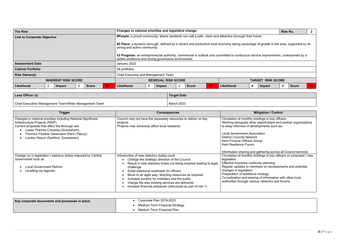| <b>The Risk</b>                    |    |        |                |              |    | Changes in national priorities and legislative change<br><b>Risk No.</b>                                                                                                                                                                                                                                                                                              |  |  |  |  |  |                                                                                                       |              |  |  | $\overline{2}$ |  |
|------------------------------------|----|--------|----------------|--------------|----|-----------------------------------------------------------------------------------------------------------------------------------------------------------------------------------------------------------------------------------------------------------------------------------------------------------------------------------------------------------------------|--|--|--|--|--|-------------------------------------------------------------------------------------------------------|--------------|--|--|----------------|--|
| <b>Link to Corporate Objective</b> |    |        |                |              |    |                                                                                                                                                                                                                                                                                                                                                                       |  |  |  |  |  | #People: a proud community; where residents can call a safe, clean and attractive borough their home. |              |  |  |                |  |
|                                    |    |        |                |              |    | #2 Place: a dynamic borough; defined by a vibrant and productive local economy taking advantage of growth in the area, supported by its<br>strong and active community.<br>#3 Progress: an entrepreneurial authority; commercial in outlook and committed to continuous service improvement, underpinned by a<br>skilled workforce and strong governance environment. |  |  |  |  |  |                                                                                                       |              |  |  |                |  |
| <b>Assessment Date</b>             |    |        |                |              |    | January 2022                                                                                                                                                                                                                                                                                                                                                          |  |  |  |  |  |                                                                                                       |              |  |  |                |  |
| <b>Cabinet Portfolio</b>           |    |        |                |              |    | All portfolios                                                                                                                                                                                                                                                                                                                                                        |  |  |  |  |  |                                                                                                       |              |  |  |                |  |
| <b>Risk Owner(s)</b>               |    |        |                |              |    | Chief Executive and Management Team                                                                                                                                                                                                                                                                                                                                   |  |  |  |  |  |                                                                                                       |              |  |  |                |  |
| <b>INHERENT RISK SCORE</b>         |    |        |                |              |    | <b>RESIDUAL RISK SCORE</b><br><b>TARGET RISK SCORE</b>                                                                                                                                                                                                                                                                                                                |  |  |  |  |  |                                                                                                       |              |  |  |                |  |
| Likelihood                         | .5 | Impact | $\overline{4}$ | <b>Score</b> | 20 | $5\phantom{.0}$<br>Likelihood<br>15<br>Likelihood<br>3<br>4<br><b>Score</b><br>Impact<br>Impact                                                                                                                                                                                                                                                                       |  |  |  |  |  | 3                                                                                                     | <b>Score</b> |  |  |                |  |

| Lead Officer (s)                                       | <b>Target Date</b> |
|--------------------------------------------------------|--------------------|
| Chief Executive/ Management Team/Wider Management Team | March 2023         |

| <b>Key corporate documents and processes in place</b> | Corporate Plan 2019-2023       |
|-------------------------------------------------------|--------------------------------|
|                                                       | Medium Term Financial Strategy |
|                                                       | Medium Term Financial Plan     |

| <b>Trigger</b>                                                                                                                                                                                                                                                                 | <b>Consequences</b>                                                                                                                                                                                                                                                                                                                                                                                                                               | <b>Mitigation / Control</b>                                                                                                                                                                                                                                                                                                                                              |
|--------------------------------------------------------------------------------------------------------------------------------------------------------------------------------------------------------------------------------------------------------------------------------|---------------------------------------------------------------------------------------------------------------------------------------------------------------------------------------------------------------------------------------------------------------------------------------------------------------------------------------------------------------------------------------------------------------------------------------------------|--------------------------------------------------------------------------------------------------------------------------------------------------------------------------------------------------------------------------------------------------------------------------------------------------------------------------------------------------------------------------|
| Changes in national priorities including National Significant<br>Infrastructure Projects (NSIP).<br>Current proposals that affect the Borough are:<br>Lower Thames Crossing (Gravesham)<br>Thurrock Flexible Generation Plant (Tilbury)<br>London Resort (Dartford, Gravesham) | Council may not have the necessary resources to deliver on key<br>projects.<br>Projects may adversely affect local residents                                                                                                                                                                                                                                                                                                                      | Circulation of monthly briefings to key officers<br>Working alongside other stakeholders and pa<br>to keep informed of developments such as:-<br><b>Local Government Association</b><br><b>District Councils Network</b><br>Kent Finance Officers Group<br>Kent Resilience Forum                                                                                         |
| Change (s) in legislation / statutory duties imposed by Central<br>Government such as<br><b>Local Government Reform</b><br>Levelling Up Agenda                                                                                                                                 | Introduction of new statutory duties could<br>Change the strategic direction of the Council<br>Result in new statutory duties not being enacted leading to legal<br>challenge<br>Entail additional workloads for officers<br>Move to an agile way, directing resources as required<br>Increase scrutiny by members and the public<br>change the way existing services are delivered<br>increase financial pressures (discussed as part of risk 1) | Information sharing and gathering across all (<br>Circulation of monthly briefings to key officers<br>legislation<br>Effective business continuity planning<br>Regular updates to members on developmen<br>changes in legislation<br>Preparation of workforce strategy<br>Co-ordination and sharing of information with<br>authorities through various networks and foru |

|                                                                                                                                                                                  |   |                             | <b>Risk No.</b> |       | 2  |
|----------------------------------------------------------------------------------------------------------------------------------------------------------------------------------|---|-----------------------------|-----------------|-------|----|
| ttractive borough their home.                                                                                                                                                    |   |                             |                 |       |    |
| onomy taking advantage of growth in the area, supported by its                                                                                                                   |   |                             |                 |       |    |
| mitted to continuous service improvement, underpinned by a                                                                                                                       |   |                             |                 |       |    |
|                                                                                                                                                                                  |   |                             |                 |       |    |
|                                                                                                                                                                                  |   |                             |                 |       |    |
|                                                                                                                                                                                  |   |                             |                 |       |    |
|                                                                                                                                                                                  |   | <b>TARGET RISK SCORE</b>    |                 |       |    |
| <b>ikelihood</b>                                                                                                                                                                 | 4 | <b>Impact</b>               | 3               | Score | 12 |
|                                                                                                                                                                                  |   |                             |                 |       |    |
|                                                                                                                                                                                  |   |                             |                 |       |    |
|                                                                                                                                                                                  |   |                             |                 |       |    |
|                                                                                                                                                                                  |   |                             |                 |       |    |
|                                                                                                                                                                                  |   | <b>Mitigation / Control</b> |                 |       |    |
| Circulation of monthly briefings to key officers<br>Working alongside other stakeholders and partner organisations<br>to keep informed of developments such as:-                 |   |                             |                 |       |    |
| <b>Local Government Association</b><br><b>District Councils Network</b><br>Kent Finance Officers Group<br>Kent Resilience Forum                                                  |   |                             |                 |       |    |
| Information sharing and gathering across all Council services                                                                                                                    |   |                             |                 |       |    |
| Circulation of monthly briefings to key officers on proposed / new                                                                                                               |   |                             |                 |       |    |
| legislation<br>Effective business continuity planning<br>Regular updates to members on developments and potential<br>changes in legislation<br>Preparation of workforce strategy |   |                             |                 |       |    |

cacegy<br>of information with other local authorities that can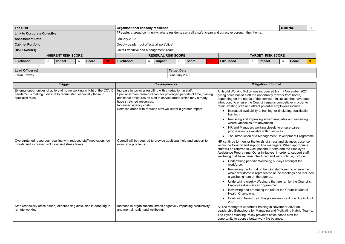| <b>Organisational capacity/resilience</b>                                                             | <b>Risk No.</b>    | $\boldsymbol{3}$           |        |              |                          |  |
|-------------------------------------------------------------------------------------------------------|--------------------|----------------------------|--------|--------------|--------------------------|--|
| #People: a proud community; where residents can call a safe, clean and attractive borough their home. |                    |                            |        |              |                          |  |
| January 2022                                                                                          |                    |                            |        |              |                          |  |
| Deputy Leader (but affects all portfolios)                                                            |                    |                            |        |              |                          |  |
| Chief Executive and Management Team                                                                   |                    |                            |        |              |                          |  |
|                                                                                                       |                    |                            |        |              |                          |  |
| Likelihood<br>Impact                                                                                  | 12<br><b>Score</b> | Likelihood<br>- 2          | Impact | <b>Score</b> |                          |  |
| 20 <sub>1</sub>                                                                                       |                    | <b>RESIDUAL RISK SCORE</b> |        |              | <b>TARGET RISK SCORE</b> |  |

| Lead Officer (s) | <b>Target Date</b> |
|------------------|--------------------|
| Laura Lowrey     | June/July 2022     |

|           | A Hybrid Working Policy was introduced from 1 November 2021<br>giving office based staff the opportunity to work from home,<br>depending on the needs of the service. Initiatives that have been<br>introduced to ensure the Council remains competitive in order to<br>retain existing staff and attract potential employees include:<br>Increased availability of training for (including qualification<br>training). |
|-----------|-------------------------------------------------------------------------------------------------------------------------------------------------------------------------------------------------------------------------------------------------------------------------------------------------------------------------------------------------------------------------------------------------------------------------|
| ٠         | Revisiting and improving advert templates and reviewing<br>where vacancies are advertised.                                                                                                                                                                                                                                                                                                                              |
|           | HR and Managers working closely to ensure career<br>progression is available within services.                                                                                                                                                                                                                                                                                                                           |
| $\bullet$ | The introduction of a Management Development Programme                                                                                                                                                                                                                                                                                                                                                                  |
|           | HR continue to monitor the levels of stress and sickness absence<br>within the Council and support line managers. When appropriate<br>staff will be referred to Occupational Health and the Employee<br>Assistance Programme. Other initiatives in order to support staff<br>wellbeing that have been introduced and will continue, include:<br>Undertaking periodic Wellbeing surveys amongst the                      |
|           | workforce.                                                                                                                                                                                                                                                                                                                                                                                                              |
| $\bullet$ | Reviewing the format of the joint staff forum to ensure the<br>whole workforce is represented at the meetings and includes<br>a wellbeing item on the agenda.                                                                                                                                                                                                                                                           |
| ٠         | Undertaking weekly Webinars that are run by the Council's<br>Employee Assistance Programme.                                                                                                                                                                                                                                                                                                                             |
| $\bullet$ | Reviewing and promoting the role of the Councils Mental<br>Health Champions.                                                                                                                                                                                                                                                                                                                                            |
| $\bullet$ | Continuing Investors in People reviews next one due in April<br>2022.                                                                                                                                                                                                                                                                                                                                                   |
|           | All line managers undertook training in November 2021 on<br>Leadership Behaviours for Managing and Motivating Hybrid Teams.<br>The Hybrid Working Policy provides office based staff the<br>opportunity to adopt a better work life balance.                                                                                                                                                                            |

| <b>Trigger</b>                                                                                                                                                       | <b>Consequences</b>                                                                                                                                                                                                                                                                                                             | <b>Mitigation / Control</b>                                                                                                                                                                                                                                                                                                                                                                                                                                                                                                                                                                                                                                                                                                                                                                |
|----------------------------------------------------------------------------------------------------------------------------------------------------------------------|---------------------------------------------------------------------------------------------------------------------------------------------------------------------------------------------------------------------------------------------------------------------------------------------------------------------------------|--------------------------------------------------------------------------------------------------------------------------------------------------------------------------------------------------------------------------------------------------------------------------------------------------------------------------------------------------------------------------------------------------------------------------------------------------------------------------------------------------------------------------------------------------------------------------------------------------------------------------------------------------------------------------------------------------------------------------------------------------------------------------------------------|
| External opportunities of agile and home working in light of the COVID<br>pandemic is making it difficult to recruit staff, especially those in<br>specialist roles. | Increase in turnover resulting with a reduction in staff,<br>Specialist roles remain vacant for prolonged periods of time, placing<br>additional pressures on staff in service areas which may already<br>have stretched resources.<br>Increased agency costs<br>Services areas with reduced staff will suffer a greater impact | A Hybrid Working Policy was introduced from 1 November:<br>giving office based staff the opportunity to work from home,<br>depending on the needs of the service. Initiatives that have<br>introduced to ensure the Council remains competitive in ord<br>retain existing staff and attract potential employees include:<br>Increased availability of training for (including qualifi<br>training).<br>Revisiting and improving advert templates and revie<br>where vacancies are advertised.<br>HR and Managers working closely to ensure career<br>progression is available within services.<br>The introduction of a Management Development Pro                                                                                                                                         |
| Overstretched resources resulting with reduced staff motivation, low<br>morale and increased sickness and stress levels.                                             | Council will be required to provide additional help and support to<br>overcome problems.                                                                                                                                                                                                                                        | HR continue to monitor the levels of stress and sickness ab<br>within the Council and support line managers. When approp<br>staff will be referred to Occupational Health and the Employ<br>Assistance Programme. Other initiatives in order to suppor<br>wellbeing that have been introduced and will continue, inclu<br>• Undertaking periodic Wellbeing surveys amongst the<br>workforce.<br>Reviewing the format of the joint staff forum to ensure<br>whole workforce is represented at the meetings and<br>a wellbeing item on the agenda.<br>Undertaking weekly Webinars that are run by the Co<br>Employee Assistance Programme.<br>Reviewing and promoting the role of the Councils M<br><b>Health Champions.</b><br>Continuing Investors in People reviews next one due<br>2022. |
| Staff (especially office based) experiencing difficulties in adapting to<br>remote working                                                                           | Increase in organisational stress negatively impacting productivity<br>and mental health and wellbeing.                                                                                                                                                                                                                         | All line managers undertook training in November 2021 on<br>Leadership Behaviours for Managing and Motivating Hybric<br>The Hybrid Working Policy provides office based staff the<br>opportunity to adopt a better work life balance.                                                                                                                                                                                                                                                                                                                                                                                                                                                                                                                                                      |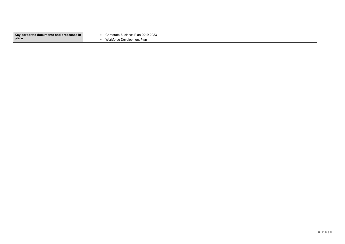| Key corporate documents and processes in | Corporate Business Plan 2019-2023 |
|------------------------------------------|-----------------------------------|
| place                                    | Workforce Development Plan        |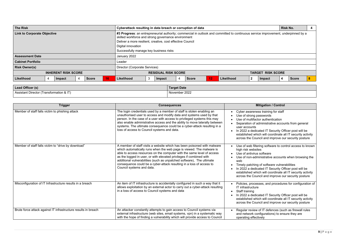| <b>The Risk</b>                                              |                |                            |   |              | Cyberattack resulting in data breach or corruption of data                                                                                                                                                                                                                                                              |                               |   |        |                                                        |       |    |            | <b>Risk No.</b> | $\overline{\mathbf{4}}$ |              |              |   |
|--------------------------------------------------------------|----------------|----------------------------|---|--------------|-------------------------------------------------------------------------------------------------------------------------------------------------------------------------------------------------------------------------------------------------------------------------------------------------------------------------|-------------------------------|---|--------|--------------------------------------------------------|-------|----|------------|-----------------|-------------------------|--------------|--------------|---|
| <b>Link to Corporate Objective</b>                           |                |                            |   |              | #3 Progress: an entrepreneurial authority; commercial in outlook and committed to continuous service improvement, underpinned by a<br>skilled workforce and strong governance environment<br>Deliver a more resilient, creative, cost effective Council<br>Digital innovation<br>Successfully manage key business risks |                               |   |        |                                                        |       |    |            |                 |                         |              |              |   |
| <b>Assessment Date</b>                                       |                |                            |   |              |                                                                                                                                                                                                                                                                                                                         | January 2022                  |   |        |                                                        |       |    |            |                 |                         |              |              |   |
| <b>Cabinet Portfolio</b>                                     |                |                            |   |              |                                                                                                                                                                                                                                                                                                                         | Leader                        |   |        |                                                        |       |    |            |                 |                         |              |              |   |
| <b>Risk Owner(s)</b>                                         |                |                            |   |              |                                                                                                                                                                                                                                                                                                                         | Director (Corporate Services) |   |        |                                                        |       |    |            |                 |                         |              |              |   |
|                                                              |                | <b>INHERENT RISK SCORE</b> |   |              |                                                                                                                                                                                                                                                                                                                         |                               |   |        | <b>RESIDUAL RISK SCORE</b><br><b>TARGET RISK SCORE</b> |       |    |            |                 |                         |              |              |   |
| Likelihood                                                   | $\overline{4}$ | Impact                     | 4 | <b>Score</b> | 16 <sub>1</sub>                                                                                                                                                                                                                                                                                                         | Likelihood                    | 3 | Impact | 4                                                      | Score | 12 | Likelihood | $\mathbf{2}$    | <b>Impact</b>           | $^{\circ}$ 4 | <b>Score</b> | 8 |
| Lead Officer (s)<br>Assistant Director (Transformation & IT) |                |                            |   |              |                                                                                                                                                                                                                                                                                                                         |                               |   |        | <b>Target Date</b><br>November 2022                    |       |    |            |                 |                         |              |              |   |

| Lead Officer (s)                         | <b>Target Date</b> |
|------------------------------------------|--------------------|
| Assistant Director (Transformation & IT) | November 2022      |

| <b>Trigger</b>                                                 | <b>Consequences</b>                                                                                                                                                                                                                                                                                                                                                                                                                                                            | <b>Miti</b>                                                                                                                                                                     |
|----------------------------------------------------------------|--------------------------------------------------------------------------------------------------------------------------------------------------------------------------------------------------------------------------------------------------------------------------------------------------------------------------------------------------------------------------------------------------------------------------------------------------------------------------------|---------------------------------------------------------------------------------------------------------------------------------------------------------------------------------|
| Member of staff falls victim to phishing attack                | The login credentials used by a member of staff is stolen enabling an<br>unauthorised user to access and modify data and systems used by that<br>person. In the case of a user with access to privileged systems this may<br>also enable administrative access and the ability to move laterally between<br>systems. The ultimate consequence could be a cyber-attack resulting in a<br>loss of access to Council systems and data.                                            | Cyber awareness<br>Use of strong pas<br>Use of multifactor<br>Separation of adn<br>user accounts<br>In 2022 a dedicate<br>established which<br>across the Counc                 |
| Member of staff falls victim to "drive by download"            | A member of staff visits a website which has been poisoned with malware<br>which automatically runs when the web page is viewed. The malware is<br>able to access resources on the computer with the same level of access<br>as the logged in user, or with elevated privileges if combined with<br>additional vulnerabilities (such as unpatched software), The ultimate<br>consequence could be a cyber-attack resulting in a loss of access to<br>Council systems and data. | Use of web filterin<br>high risk websites<br>Use of antivirus so<br>Use of non-admin<br>web<br>Timely patching o<br>In 2022 a dedicate<br>established which<br>across the Counc |
| Misconfiguration of IT Infrastructure results in a breach      | An item of IT infrastructure is accidentally configured in such a way that it<br>allows exploitation by an external actor to carry out a cyber-attack resulting<br>in a loss of access to Council systems and data                                                                                                                                                                                                                                                             | Policies, processe<br>IT infrastructure<br>Staff training<br>In 2022 a dedicate<br>established which<br>across the Counc                                                        |
| Brute force attack against IT infrastructure results in breach | An attacker constantly attempts to gain access to Council systems via<br>external infrastructure (web sites, email systems, vpn) in a systematic way<br>with the hope of finding a vulnerability which will provide access to Council                                                                                                                                                                                                                                          | Regular review of<br>and network confi<br>operating effective                                                                                                                   |

## **Trigation** / **Control** s training for staff **usswords** or authentication Iministrative accounts from general • In 2022 a dedicated IT Security Officer post will be established which will coordinate all IT security activity across the Council and improve our security posture ing software to control access to known software inistrative accounts when browsing the of software vulnerabilities Ited IT Security Officer post will be established which will coordinate all IT security activity cil and improve our security posture ses, and procedures for configuration of ated IT Security Officer post will be established which will coordinate all IT security activity across the Council and improve our security posture of IT defences (such as firewall rules ifigurations) to ensure they are vely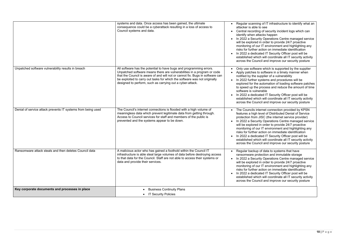|                                                              | systems and data. Once access has been gained, the ultimate<br>consequence could be a cyberattack resulting in a loss of access to<br>Council systems and data.                                                                                                                                                                                                           | Regular scanning of IT infrastructure to identify what an<br>attacker is able to see<br>Central recording of security incident logs which can<br>identify when attacks happen<br>In 2022 a Security Operations Centre managed service<br>will be explored in order to provide 24/7 proactive<br>monitoring of our IT environment and highlighting any<br>risks for further action on immediate identification<br>In 2022 a dedicated IT Security Officer post will be<br>established which will coordinate all IT security activity<br>across the Council and improve our security posture |
|--------------------------------------------------------------|---------------------------------------------------------------------------------------------------------------------------------------------------------------------------------------------------------------------------------------------------------------------------------------------------------------------------------------------------------------------------|--------------------------------------------------------------------------------------------------------------------------------------------------------------------------------------------------------------------------------------------------------------------------------------------------------------------------------------------------------------------------------------------------------------------------------------------------------------------------------------------------------------------------------------------------------------------------------------------|
| Unpatched software vulnerability results in breach           | All software has the potential to have bugs and programming errors.<br>Unpatched software means there are vulnerabilities in a program or code<br>that the Council is aware of and will not or cannot fix. Bugs in software can<br>be exploited to carry out tasks for which the software was not originally<br>designed to perform, such as carrying out a cyber-attack. | Only use software which is supported by the supplier<br>Apply patches to software in a timely manner when<br>notified by the supplier of a vulnerability<br>In 2022 further systems and procedures will be<br>explored for the automation of loading software patches<br>to speed up the process and reduce the amount of time<br>software is vulnerable<br>In 2022 a dedicated IT Security Officer post will be<br>established which will coordinate all IT security activity<br>across the Council and improve our security posture                                                      |
| Denial of service attack prevents IT systems from being used | The Council's internet connections is flooded with a high volume of<br>meaningless data which prevent legitimate data from getting through.<br>Access to Council services for staff and members of the public is<br>prevented and the systems appear to be down.                                                                                                          | The Councils internet connection provided by KPSN<br>features a high level of Distributed Denial of Service<br>protection from JISC (the internet service provider)<br>In 2022 a Security Operations Centre managed service<br>will be explored in order to provide 24/7 proactive<br>monitoring of our IT environment and highlighting any<br>risks for further action on immediate identification<br>In 2022 a dedicated IT Security Officer post will be<br>established which will coordinate all IT security activity<br>across the Council and improve our security posture           |
| Ransomware attack steals and then deletes Council data       | A malicious actor who has gained a foothold within the Council IT<br>infrastructure is able steal large volumes of data before destroying access<br>to that data for the Council. Staff are not able to access their systems or<br>data and provide their services.                                                                                                       | Regular backup of data to systems that have<br>ransomware protection and immutable storage<br>In 2022 a Security Operations Centre managed service<br>will be explored in order to provide 24/7 proactive<br>monitoring of our IT environment and highlighting any<br>risks for further action on immediate identification<br>In 2022 a dedicated IT Security Officer post will be<br>established which will coordinate all IT security activity<br>across the Council and improve our security posture                                                                                    |
| Key corporate documents and processes in place               | <b>Business Continuity Plans</b><br>• IT Security Policies                                                                                                                                                                                                                                                                                                                |                                                                                                                                                                                                                                                                                                                                                                                                                                                                                                                                                                                            |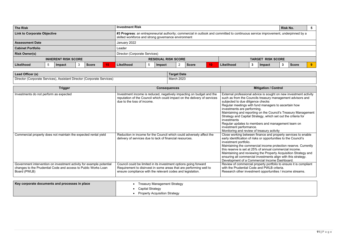| <b>The Risk</b>                           | <b>Investment Risk</b><br><b>Risk No.</b>                                                                                                                                                 |                                           |  |  |  |  |
|-------------------------------------------|-------------------------------------------------------------------------------------------------------------------------------------------------------------------------------------------|-------------------------------------------|--|--|--|--|
| <b>Link to Corporate Objective</b>        | #3 Progress: an entrepreneurial authority; commercial in outlook and committed to continuous service improvement, underpinned by a<br>skilled workforce and strong governance environment |                                           |  |  |  |  |
| <b>Assessment Date</b>                    | January 2022                                                                                                                                                                              |                                           |  |  |  |  |
| <b>Cabinet Portfolio</b>                  | Leader                                                                                                                                                                                    |                                           |  |  |  |  |
| <b>Risk Owner(s)</b>                      | Director (Corporate Services)                                                                                                                                                             |                                           |  |  |  |  |
| <b>INHERENT RISK SCORE</b>                | <b>RESIDUAL RISK SCORE</b>                                                                                                                                                                | <b>TARGET RISK SCORE</b>                  |  |  |  |  |
| Likelihood<br>3<br><b>Score</b><br>Impact | Likelihood<br>10<br><b>Score</b><br>Impact                                                                                                                                                | Likelihood<br>9<br><b>Score</b><br>Impact |  |  |  |  |

| Lead Officer (s)                                                       | <b>Target Date</b> |
|------------------------------------------------------------------------|--------------------|
| Director (Corporate Services), Assistant Director (Corporate Services) | March 2023         |

I income protection reserve. Currently this reserve is set at 25% of annual commercial income. Maintaining and reviewing the Property Acquisition Strategy and ensuring all commercial investments align with this strategy.

erty portfolio to ensure it is compliant nd PWLB criteria.

opportunities / income streams.

| <b>Trigger</b>                                                                                                                                         | <b>Consequences</b>                                                                                                                                                                                  | <b>Mitigation / Control</b>                                                                                                                                                                                                                                                                                                                                                                                                                                                          |
|--------------------------------------------------------------------------------------------------------------------------------------------------------|------------------------------------------------------------------------------------------------------------------------------------------------------------------------------------------------------|--------------------------------------------------------------------------------------------------------------------------------------------------------------------------------------------------------------------------------------------------------------------------------------------------------------------------------------------------------------------------------------------------------------------------------------------------------------------------------------|
| Investments do not perform as expected                                                                                                                 | Investment income is reduced, negatively impacting on budget and the<br>reputation of the Council which could impact on the delivery of services<br>due to the loss of income.                       | External professional advice is sought on new inve<br>such as from the Councils treasury management a<br>subjected to due diligence checks<br>Regular meetings with fund managers to ascertain<br>investments are performing.<br>Maintaining and reporting on the Council's Treasur<br>Strategy and Capital Strategy, which set out the cri<br>investments<br>Regular updates to members and management tea<br>investment performance.<br>Monitoring and review of treasury activity |
| Commercial property does not maintain the expected rental yield                                                                                        | Reduction in income for the Council which could adversely affect the<br>delivery of services due to lack of financial resources.                                                                     | Close working between finance and property servid<br>early identification of risks or opportunities to the C<br>investment portfolio.<br>Maintaining the commercial income protection rese<br>this reserve is set at 25% of annual commercial inc<br>Maintaining and reviewing the Property Acquisition<br>ensuring all commercial investments align with this<br>Development of a Commercial Income Dashboard.                                                                      |
| Government intervention on investment activity for example potential<br>changes to the Prudential Code and access to Public Works Loan<br>Board (PWLB) | Council could be limited in its investment options going forward<br>Requirement to disinvest in some areas that are performing well to<br>ensure compliance with the relevant codes and legislation. | Review of commercial property portfolio to ensure<br>with the Prudential Code and PWLB criteria.<br>Research other investment opportunities / income                                                                                                                                                                                                                                                                                                                                 |
| Key corporate documents and processes in place                                                                                                         | <b>Treasury Management Strategy</b><br><b>Capital Strategy</b>                                                                                                                                       |                                                                                                                                                                                                                                                                                                                                                                                                                                                                                      |

| <b>Property Acquisition Strategy</b> |
|--------------------------------------|
|--------------------------------------|

e is sought on new investment activity reasury management advisors and  $the  $\sim$$ 

managers to ascertain how

on the Council's Treasury Management gy, which set out the criteria for

rs and management team on

### easury activity

Close working between finance and property services to enable early identification of risks or opportunities to the Council's